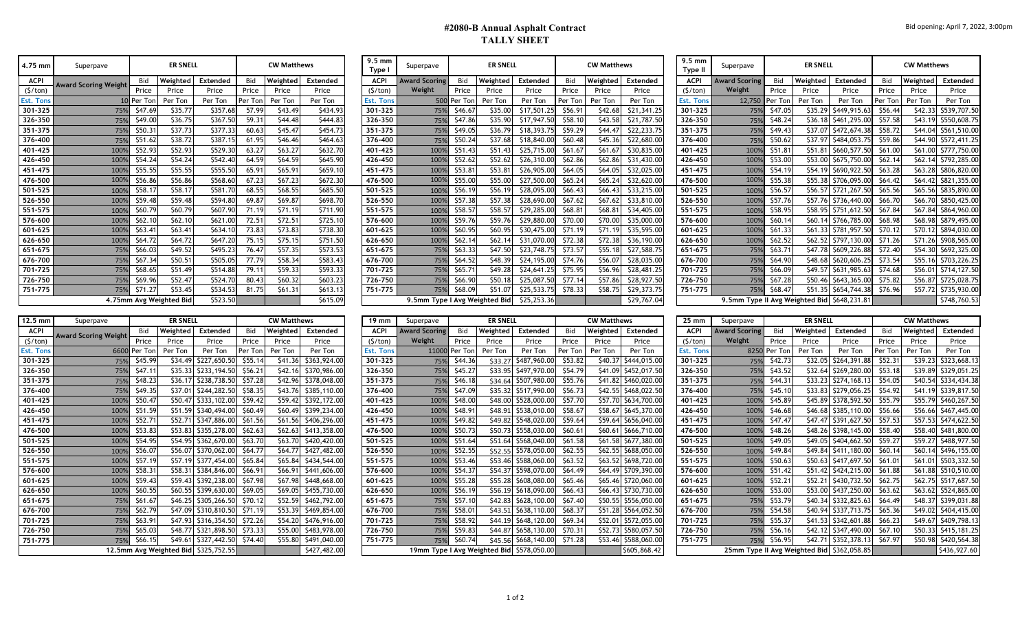## **#2080-B Annual Asphalt Contract TALLY SHEET**

| 4.75 mm          | Superpave                   |            | <b>ER SNELL</b>         |                 |         | <b>CW Matthews</b> |          | 9.5 mm<br>Type   | Superpave            |                 | <b>ER SNELL</b>               |             |            | <b>CW Matthews</b> |             | $9.5 \text{ mm}$<br>Type II | Superpave            |            | <b>ER SNELL</b> |                                             |         | <b>CW Matthews</b> |                  |
|------------------|-----------------------------|------------|-------------------------|-----------------|---------|--------------------|----------|------------------|----------------------|-----------------|-------------------------------|-------------|------------|--------------------|-------------|-----------------------------|----------------------|------------|-----------------|---------------------------------------------|---------|--------------------|------------------|
| ACPI             | <b>Award Scoring Weight</b> | Bid        | Weightec                | <b>Extended</b> | Bid     | Weighted           | Extended | <b>ACPI</b>      | <b>Award Scoring</b> | Bid             | Weighted                      | Extended    | <b>Bid</b> | Weighted           | Extended    | <b>ACPI</b>                 | <b>Award Scoring</b> | <b>Bid</b> | Weighted        | Extended                                    | Bid     | Weighted           | Extend           |
| $($ \$/ton $)$   |                             | Price      | Price                   | Price           | Price   | Price              | Price    | (5/ton)          | Weight               | Price           | Price                         | Price       | Price      | Price              | Price       | (5/ton)                     | Weight               | Price      | Price           | Price                                       | Price   | Price              | Price            |
| <b>Est. Tons</b> |                             | DI Per Ton | Per Ton                 | Per Ton         | Per Ton | Per Ton            | Per Ton  | <b>Est. Tons</b> |                      | 500 Per Tor     | Per Ton                       | Per Ton     | Per Tor    | Per Ton            | Per Ton     | Est. Tons                   | 12,750               | Per Ton    | Per Ton         | Per Ton                                     | Per Ton | Per Ton            | Per To           |
| 301-325          | 75%                         | \$47.69    | \$35.77                 | \$357.68        | 57.99   | \$43.49            | \$434.93 | 301-325          |                      | 75%<br>\$46.67  | \$35.00                       | \$17,501.2  | \$56.91    | \$42.68            | \$21,341.25 | 301-325                     | 75%                  | \$47.05    | \$35.29         | \$449,915.63                                | \$56.44 | \$42.33            | \$539,70         |
| 326-350          | 75%                         | \$49.00    | \$36.75                 | \$367.50        | 59.31   | \$44.48            | \$444.83 | 326-350          |                      | 75%<br>\$47.8   | \$35.90                       | \$17,947.   | \$58.10    | \$43.58            | \$21,787.50 | 326-350                     | 75%                  | \$48.24    | \$36.18         | \$461,295.00                                | \$57.58 | \$43.19            | \$550,60         |
| 351-375          | 75%                         | \$50.3     | \$37.73                 | \$377.33        | 60.63   | \$45.47            | \$454.73 | 351-375          |                      | 75%<br>\$49.0   | \$36.79                       | \$18,393.75 | \$59.29    | \$44.4]            | \$22,233.75 | 351-375                     | 75%                  | \$49.43    | \$37.07         | \$472,674.38                                | \$58.72 | \$44.04            | \$561,51         |
| 376-400          | 75%                         | \$51.6     | \$38.72                 | \$387.1         | 61.95   | \$46.46            | \$464.6  | 376-400          |                      | \$50.2<br>75%   | \$37.68                       | \$18,840.   | \$60.48    | \$45.36            | \$22,680.00 | 376-400                     | 75%                  | \$50.62    | \$37.97         | \$484,053.                                  | \$59.86 | \$44.90            | \$572,41         |
| 401-425          | 1009                        | \$52.93    | \$52.93                 | \$529.30        | 63.27   | \$63.27            | \$632.70 | 401-425          |                      | \$51.4<br>100%  | \$51.43                       | \$25,715.00 | \$61.67    | \$61.67            | \$30,835.00 | 401-425                     | 100%                 | \$51.8     | \$51.81         | \$660,577.50                                | \$61.00 | \$61.00            | \$777,75         |
| 426-450          | 100%                        | \$54.24    | \$54.24                 | \$542.40        | 64.59   | \$64.59            | \$645.90 | 426-450          | 100%                 | \$52.6          | \$52.62                       | \$26,310.00 | \$62.86    | \$62.86            | \$31,430.00 | 426-450                     | 100%                 | \$53.00    | \$53.00         | \$675,750.00                                | \$62.14 | \$62.14            | \$792,28         |
| 451-475          | 100%                        | \$55.55    | \$55.55                 | \$555.50        | 65.91   | \$65.91            | \$659.10 | 451-475          | 100%                 | \$53.81         | \$53.81                       | \$26,905.00 | \$64.05    | \$64.05            | \$32,025.00 | 451-475                     | 100%                 | \$54.19    | \$54.19         | \$690,922.50                                | \$63.28 | \$63.28            | \$806,82         |
| 476-500          | 100%                        | \$56.86    | \$56.86                 | \$568.60        | 67.23   | \$67.23            | \$672.30 | 476-500          |                      | 100%<br>\$55.00 | \$55.00                       | \$27,500.00 | \$65.24    | \$65.24            | \$32,620.00 | 476-500                     | 100%                 | \$55.38    | \$55.38         | \$706,095.00                                | \$64.42 |                    | \$64.42 \$821,35 |
| 501-525          | 100%                        | \$58.17    | \$58.17                 | \$581.70        | 68.55   | \$68.55            | \$685.50 | 501-525          | 100%                 | \$56.1          | \$56.19                       | \$28,095.00 | \$66.43    | \$66.43            | \$33,215.00 | 501-525                     | 100%                 | \$56.57    | \$56.57         | \$721,267.50                                | \$65.56 | \$65.56            | \$835,89         |
| 526-550          | 100%                        | \$59.48    | \$59.48                 | \$594.80        | 69.87   | \$69.87            | \$698.70 | 526-550          |                      | \$57.38<br>100% | \$57.38                       | \$28,690.00 | \$67.62    | \$67.62            | \$33,810.00 | 526-550                     | 100%                 | \$57.7     |                 | \$57.76 \$736,440.00                        | \$66.70 |                    | \$66.70 \$850,42 |
| 551-575          | 100%                        | \$60.79    | \$60.79                 | \$607.90        | 71.1'   | \$71.19            | \$711.90 | 551-575          |                      | \$58.5<br>100%  | \$58.57                       | \$29,285.00 | \$68.81    | \$68.81            | \$34,405.00 | 551-575                     | 100%                 | \$58.95    | \$58.95         | \$751,612.50                                | \$67.84 | \$67.84            | \$864,96         |
| 576-600          | 100%                        | \$62.10    | \$62.10                 | \$621.00        | 72.51   | \$72.51            | \$725.10 | 576-600          |                      | \$59.7<br>100%  | \$59.76                       | \$29,880.00 | \$70.00    | \$70.00            | \$35,000.00 | 576-600                     | 100%                 | \$60.1     | \$60.14         | \$766,785.00                                | \$68.98 |                    | \$68.98 \$879,49 |
| 601-625          | 100%                        | \$63.4'    | \$63.4                  | \$634.10        | 73.83   | \$73.83            | \$738.30 | 601-625          |                      | 100%<br>\$60.95 | \$60.95                       | \$30,475.00 | \$71.19    | \$71.19            | \$35,595.00 | 601-625                     | 100%                 | \$61.33    | \$61.33         | \$781,957.50                                | \$70.12 | \$70.12            | \$894,03         |
| 626-650          | 100%                        | \$64.72    | \$64.72                 | \$647.20        | 75.15   | \$75.15            | \$751.50 | 626-650          | 100%                 | \$62.1          | \$62.14                       | \$31,070.00 | \$72.38    | \$72.38            | \$36,190.00 | 626-650                     | 100%                 | \$62.52    | \$62.52         | \$797,130.00                                | \$71.26 | \$71.26            | \$908,56         |
| 651-675          | 75%                         | \$66.0     | \$49.52                 | \$495.23        | 76.47   | \$57.3             | \$573.53 | 651-675          |                      | 75%<br>\$63.3   | \$47.50                       | \$23,748.   | \$73.57    | \$55.18            | \$27,588.75 | 651-675                     | 75%                  | \$63.7     | \$47.78         | \$609,226.88                                | \$72.40 | \$54.30            | \$692,32         |
| 676-700          | 75%                         | \$67.3     | \$50.5'                 | \$505.05        | 77.79   | \$58.34            | \$583.43 | 676-700          |                      | \$64.52<br>75%  | \$48.39                       | \$24,195.00 | \$74.76    | \$56.0             | \$28,035.00 | 676-700                     | 75%                  | \$64.90    | \$48.68         | \$620,606.25                                | \$73.54 | \$55.16            | \$703,22         |
| 701-725          | 75%                         | \$68.6     | \$51.49                 | \$514.88        | 79.11   | \$59.33            | \$593.33 | 701-725          |                      | 75%<br>\$65.7   | \$49.28                       | \$24,641    | \$75.95    | \$56.96            | \$28,481.25 | 701-725                     | 75%                  | \$66.09    | \$49.57         | \$631,985.                                  | \$74.68 | \$56.01            | \$714,12         |
| 726-750          | 75%                         | \$69.96    | \$52.47                 | \$524.70        | 80.43   | \$60.32            | \$603.23 | 726-750          |                      | 75%<br>\$66.90  | \$50.18                       | \$25,087.   | \$77.14    | \$57.86            | \$28,927.50 | 726-750                     | 75%                  | \$67.28    | \$50.46         | \$643,365.00                                | \$75.82 | \$56.87            | \$725,02         |
| 751-775          | 75%                         | \$71.27    | \$53.45                 | \$534.53        | 81.75   | \$61.31            | \$613.13 | 751-775          |                      | 75%<br>\$68.09  | \$51.07                       | \$25,533.75 | \$78.33    | \$58.75            | \$29,373.75 | 751-775                     | 75%                  | \$68.47    | \$51.35         | \$654,744.38                                | \$76.96 |                    | \$57.72 \$735,93 |
|                  |                             |            | 4.75mm Avg Weighted Bid | \$523.50        |         |                    | \$615.09 |                  |                      |                 | 9.5mm Type I Avg Weighted Bid | \$25,253.36 |            |                    | \$29,767.04 |                             |                      |            |                 | 9.5mm Type II Avg Weighted Bid \$648,231.81 |         |                    | \$748,76         |

| Superpave                  |            | <b>ER SNELL</b>         |          |         | <b>CW Matthews</b> |          | <b>2'2 IIIII</b><br>Type I | Superpave                                 |             | <b>ER SNELL</b> |             |            | <b>CW Matthews</b> |                 | <b>2'2 IIIII</b><br>Type II | Superpave                                   |                | <b>ER SNELL</b> |              |            | <b>CW Matthews</b> |                      |
|----------------------------|------------|-------------------------|----------|---------|--------------------|----------|----------------------------|-------------------------------------------|-------------|-----------------|-------------|------------|--------------------|-----------------|-----------------------------|---------------------------------------------|----------------|-----------------|--------------|------------|--------------------|----------------------|
| <b>Award Scoring Weigh</b> | Bid        | Weighted                | Extended | Bid     | Weighted           | Extended | <b>ACPI</b>                | <b>Award Scoring</b>                      | Bid         | Weighted        | Extended    | <b>Bid</b> | Weighted           | <b>Extended</b> | <b>ACPI</b>                 | <b>Award Scoring</b>                        | Bid            | Weighted        | Extended     | <b>Rid</b> | Weighted           | Extended             |
|                            | Price      | Price                   | Price    | Price   | Price              | Price    | (5/ton)                    | Weight                                    | Price       | Price           | Price       | Price      | Price              | Price           | (S/ton)                     | Weight                                      | Price          | Price           | Price        | Price      | Price              | Price                |
|                            | 10 Per Ton | Per Ton                 | Per Ton  | Per Ton | Per Ton            | Per Ton  | Est. Tons                  |                                           | 500 Per Ton | Per Ton         | Per Ton     | Per Ton    | Per Ton            | Per Ton         | <b>Est. Tons</b>            |                                             | 12,750 Per Ton | Per Ton         | Per Ton      | Per Ton    | Per Ton            | Per Ton              |
| 75%                        | \$47.69    | \$35.77                 | \$357.68 | 57.99   | \$43.49            | \$434.93 | 301-325                    | 75%                                       | \$46.67     | \$35.00         | \$17,501.   | \$56.91    | \$42.68            | \$21,341.25     | 301-325                     | 75%                                         | \$47.05        | \$35.29         | \$449,915.63 | \$56.44    |                    | \$42.33 \$539,707.50 |
| 75%                        | \$49.00    | \$36.75                 | \$367.50 | 59.31   | \$44.48            | \$444.83 | 326-350                    | 75%                                       | \$47.86     | \$35.90         | \$17,947.50 | \$58.10    | \$43.58            | \$21,787.50     | 326-350                     | 75%                                         | \$48.24        | \$36.18         | \$461,295.00 | \$57.58    |                    | \$43.19 \$550,608.75 |
| 75%                        | \$50.31    | \$37.73                 | \$377.33 | 60.63   | \$45.47            | \$454.73 | 351-375                    | 75%                                       | \$49.05     | \$36.79         | \$18,393.75 | \$59.29    | \$44.47            | \$22,233.75     | 351-375                     | 75%                                         | \$49.43        | \$37.07         | \$472,674.38 | \$58.72    |                    | \$44.04 \$561,510.00 |
| 75%                        | \$51.62    | \$38.72                 | \$387.15 | 61.95   | \$46.46            | \$464.63 | 376-400                    | 75%                                       | \$50.24     | \$37.68         | \$18,840.00 | \$60.48    | \$45.36            | \$22,680.00     | 376-400                     | 75%                                         | \$50.62        | \$37.97         | \$484,053.75 | \$59.86    |                    | \$44.90 \$572,411.25 |
| 1009                       | \$52.93    | \$52.93                 | \$529.30 | 63.27   | \$63.27            | \$632.70 | 401-425                    | 100%                                      | \$51.43     | \$51.43         | \$25,715.00 | \$61.67    | \$61.67            | \$30,835.00     | 401-425                     | 100%                                        | \$51.81        | \$51.81         | \$660,577.50 | \$61.00    |                    | \$61.00 \$777,750.00 |
| 100%                       | \$54.24    | \$54.24                 | \$542.40 | 64.59   | \$64.59            | \$645.90 | 426-450                    | 100%                                      | \$52.62     | \$52.62         | \$26,310.00 | \$62.86    | \$62.86            | \$31,430.00     | 426-450                     | 100%                                        | \$53.00        | \$53.00         | \$675,750.00 | \$62.14    |                    | \$62.14 \$792,285.00 |
| 100%                       | \$55.55    | \$55.55                 | \$555.50 | 65.91   | \$65.91            | \$659.10 | 451-475                    | 100%                                      | \$53.81     | \$53.81         | \$26,905.00 | \$64.05    | \$64.05            | \$32,025.00     | 451-475                     | 100%                                        | \$54.19        | \$54.19         | \$690,922.50 | \$63.28    |                    | \$63.28 \$806,820.00 |
| 1009                       | \$56.86    | \$56.86                 | \$568.60 | 67.23   | \$67.23            | \$672.30 | 476-500                    | 100%                                      | \$55.00     | \$55.00         | \$27,500.00 | \$65.24    | \$65.24            | \$32,620.00     | 476-500                     | 100%                                        | \$55.38        | \$55.38         | \$706,095.00 | \$64.42    |                    | \$64.42 \$821,355.00 |
| 100%                       | \$58.17    | \$58.17                 | \$581.70 | 68.55   | \$68.55            | \$685.50 | 501-525                    | 100%                                      | \$56.19     | \$56.19         | \$28,095.00 | \$66.43    | \$66.43            | \$33,215.00     | 501-525                     | 100%                                        | \$56.57        | \$56.57         | \$721,267.50 | \$65.56    |                    | \$65.56 \$835,890.00 |
| 100%                       | \$59.48    | \$59.48                 | \$594.80 | 69.87   | \$69.87            | \$698.70 | 526-550                    | 100%                                      | \$57.38     | \$57.38         | \$28,690.00 | \$67.62    | \$67.62            | \$33,810.00     | 526-550                     | 100%                                        | \$57.76        | \$57.76         | \$736,440.00 | \$66.70    |                    | \$66.70 \$850,425.00 |
| 1009                       | \$60.79    | \$60.79                 | \$607.90 | 71.19   | \$71.19            | \$711.90 | 551-575                    | 100%                                      | \$58.57     | \$58.57         | \$29,285.00 | \$68.81    | \$68.81            | \$34,405.00     | 551-575                     | 100%                                        | \$58.95        | \$58.95         | \$751,612.50 | \$67.84    |                    | \$67.84 \$864,960.00 |
| 1009                       | \$62.10    | \$62.10                 | \$621.00 | 72.51   | \$72.51            | \$725.10 | 576-600                    | 100%                                      | \$59.76     | \$59.76         | \$29,880.00 | \$70.00    | \$70.00            | \$35,000.00     | 576-600                     | 100%                                        | \$60.14        | \$60.1          | \$766,785.00 | \$68.98    |                    | \$68.98 \$879,495.00 |
| 100%                       | \$63.41    | \$63.41                 | \$634.10 | 73.83   | \$73.83            | \$738.30 | 601-625                    | 100%                                      | \$60.95     | \$60.95         | \$30,475.00 | \$71.19    | \$71.19            | \$35,595.00     | 601-625                     | 100%                                        | \$61.33        | \$61.33         | \$781,957.50 | \$70.12    |                    | \$70.12 \$894,030.00 |
| 100%                       | \$64.72    | \$64.72                 | \$647.20 | 75.15   | \$75.15            | \$751.50 | 626-650                    | 100%                                      | \$62.14     | \$62.14         | \$31,070.00 | \$72.38    | \$72.38            | \$36,190.00     | 626-650                     | 100%                                        | \$62.52        | \$62.52         | \$797,130.00 | \$71.26    |                    | \$71.26 \$908,565.00 |
| 75%                        | \$66.03    | \$49.52                 | \$495.23 | 76.47   | \$57.35            | \$573.53 | 651-675                    | 75%                                       | \$63.33     | \$47.50         | \$23,748.75 | \$73.57    | \$55.18            | \$27,588.75     | 651-675                     | 75%                                         | \$63.71        | \$47.78         | \$609,226.88 | \$72.40    |                    | \$54.30 \$692,325.00 |
| 75%                        | \$67.34    | \$50.51                 | \$505.05 | 77.79   | \$58.34            | \$583.43 | 676-700                    | 75%                                       | \$64.52     | \$48.39         | \$24,195.00 | \$74.76    | \$56.07            | \$28,035.00     | 676-700                     | 75%                                         | \$64.90        | \$48.68         | \$620,606.25 | \$73.54    |                    | \$55.16 \$703,226.25 |
| 75%                        | \$68.65    | \$51.49                 | \$514.88 | 79.11   | \$59.33            | \$593.33 | 701-725                    | 75%                                       | \$65.71     | \$49.28         | \$24,641.25 | \$75.95    | \$56.96            | \$28,481.25     | 701-725                     | 75%                                         | \$66.09        | \$49.57         | \$631,985.63 | \$74.68    |                    | \$56.01 \$714,127.50 |
| 75%                        | \$69.96    | \$52.47                 | \$524.70 | 80.43   | \$60.32            | \$603.23 | 726-750                    | 75%                                       | \$66.90     | \$50.18         | \$25,087.50 | \$77.14    | \$57.86            | \$28,927.50     | 726-750                     | 75%                                         | \$67.28        | \$50.46         | \$643,365.00 | \$75.82    |                    | \$56.87 \$725,028.75 |
| 75%                        | \$71.27    | \$53.45                 | \$534.53 | 81.75   | \$61.31            | \$613.13 | 751-775                    | 75%                                       | \$68.09     | \$51.07         | \$25,533.7  | \$78.33    | \$58.75            | \$29,373.75     | 751-775                     | 75%                                         | \$68.47        | \$51.35         | \$654,744.38 | \$76.96    | \$57.72            | \$735,930.00         |
|                            |            | 4.75mm Avg Weighted Bid | \$523.50 |         |                    | \$615.09 |                            | 9.5mm Type I Avg Weighted Bid \$25,253.36 |             |                 |             |            |                    | \$29,767.04     |                             | 9.5mm Type II Avg Weighted Bid \$648,231.81 |                |                 |              |            |                    | \$748,760.53         |
|                            |            |                         |          |         |                    |          |                            |                                           |             |                 |             |            |                    |                 |                             |                                             |                |                 |              |            |                    |                      |
| Sunarnava                  |            | <b>FR SNELL</b>         |          |         | CW Matthows        |          | 10mm                       | Superpave                                 |             | <b>FR SNELL</b> |             |            | CW Matthows        |                 | $25 \text{ mm}$             | Sungrnave                                   |                | <b>FR SNELL</b> |              |            | CW Matthows        |                      |

| $9.5$ mm<br>Type II | Superpave                      |         | <b>ER SNELL</b> |                 | <b>CW Matthews</b> |          |                 |  |  |  |  |
|---------------------|--------------------------------|---------|-----------------|-----------------|--------------------|----------|-----------------|--|--|--|--|
| <b>ACPI</b>         | <b>Award Scoring</b>           | Bid     | Weighted        | <b>Extended</b> | Bid                | Weighted | <b>Extended</b> |  |  |  |  |
| (S/ton)             | Weight                         | Price   | Price           | Price           | Price              | Price    | Price           |  |  |  |  |
| Est. Tons           | 12,750                         | Per Ton | Per Ton         | Per Ton         | Per Ton            | Per Ton  | Per Ton         |  |  |  |  |
| 301-325             | 75%                            | \$47.05 | \$35.29         | \$449,915.63    | \$56.44            | \$42.33  | \$539,707.50    |  |  |  |  |
| 326-350             | 75%                            | \$48.24 | \$36.18         | \$461,295.00    | \$57.58            | \$43.19  | \$550,608.75    |  |  |  |  |
| 351-375             | 75%                            | \$49.43 | \$37.07         | \$472,674.38    | \$58.72            | \$44.04  | \$561,510.00    |  |  |  |  |
| 376-400             | 75%                            | \$50.62 | \$37.97         | \$484,053.75    | \$59.86            | \$44.90  | \$572,411.25    |  |  |  |  |
| 401-425             | 100%                           | \$51.81 | \$51.81         | \$660,577.50    | \$61.00            | \$61.00  | \$777,750.00    |  |  |  |  |
| 426-450             | 100%                           | \$53.00 | \$53.00         | \$675,750.00    | \$62.14            | \$62.14  | \$792,285.00    |  |  |  |  |
| 451-475             | 100%                           | \$54.19 | \$54.19         | \$690,922.50    | \$63.28            | \$63.28  | \$806,820.00    |  |  |  |  |
| 476-500             | 100%                           | \$55.38 | \$55.38         | \$706,095.00    | \$64.42            | \$64.42  | \$821,355.00    |  |  |  |  |
| 501-525             | 100%                           | \$56.57 | \$56.57         | \$721,267.50    | \$65.56            | \$65.56  | \$835,890.00    |  |  |  |  |
| 526-550             | 100%                           | \$57.76 | \$57.76         | \$736,440.00    | \$66.70            | \$66.70  | \$850,425.00    |  |  |  |  |
| 551-575             | 100%                           | \$58.95 | \$58.95         | \$751,612.50    | \$67.84            | \$67.84  | \$864,960.00    |  |  |  |  |
| 576-600             | 100%                           | \$60.14 | \$60.14         | \$766,785.00    | \$68.98            | \$68.98  | \$879,495.00    |  |  |  |  |
| 601-625             | 100%                           | \$61.33 | \$61.33         | \$781,957.50    | \$70.12            | \$70.12  | \$894,030.00    |  |  |  |  |
| 626-650             | 100%                           | \$62.52 | \$62.52         | \$797,130.00    | \$71.26            | \$71.26  | \$908,565.00    |  |  |  |  |
| 651-675             | 75%                            | \$63.71 | \$47.78         | \$609,226.88    | \$72.40            | \$54.30  | \$692,325.00    |  |  |  |  |
| 676-700             | 75%                            | \$64.90 | \$48.68         | \$620,606.25    | \$73.54            | \$55.16  | \$703,226.25    |  |  |  |  |
| 701-725             | 75%                            | \$66.09 | \$49.57         | \$631,985.63    | \$74.68            | \$56.01  | \$714,127.50    |  |  |  |  |
| 726-750             | 75%                            | \$67.28 | \$50.46         | \$643,365.00    | \$75.82            | \$56.87  | \$725,028.75    |  |  |  |  |
| 751-775             | 75%                            | \$68.47 | \$51.35         | \$654,744.38    | \$76.96            | \$57.72  | \$735,930.00    |  |  |  |  |
|                     | 9.5mm Type II Avg Weighted Bid |         |                 | \$648,231.81    | \$748,760.53       |          |                 |  |  |  |  |

| $12.5$ mm | Superpave                   |            | <b>ER SNELL</b> |                                      |         | <b>CW Matthews</b> |                      | 19 mm       | Superpave           |               | <b>ER SNELL</b> |                                           |            | <b>CW Matthews</b> |                      | 25 mm       | Superpave            |              | <b>ER SNELL</b> |                                            |         | <b>CW Matthews</b> |                  |
|-----------|-----------------------------|------------|-----------------|--------------------------------------|---------|--------------------|----------------------|-------------|---------------------|---------------|-----------------|-------------------------------------------|------------|--------------------|----------------------|-------------|----------------------|--------------|-----------------|--------------------------------------------|---------|--------------------|------------------|
| ACPI      | <b>Award Scoring Weight</b> | <b>Bid</b> | Weighted        | <b>Extended</b>                      | Bid     | Weighted           | Extended             | <b>ACPI</b> | <b>Award Scorin</b> | Bid           | Weighted        | Extended                                  | <b>Bid</b> | Weighted           | <b>Extended</b>      | <b>ACPI</b> | <b>Award Scoring</b> | Bid          | Weighted        | Extended                                   |         | Weighted           | Extend           |
| (5/ton)   |                             | Price      | Price           | Price                                | Price   | Price              | Price                | (§/ton)     | Weight              | Price         | Price           | Price                                     | Price      | Price              | Price                | (5/ton)     | Weight               | Price        | Price           | Price                                      | Price   | Price              | Price            |
| Est. Tons | 6600                        | Per Ton    | Per Ton         | Per Ton                              | Per Ton | Per Ton            | Per Ton              | Est. Tons   |                     | 11000 Per Ton | Per Ton         | Per Ton                                   | Per Ton    | Per Ton            | Per Ton              | Est. Tons   |                      | 8250 Per Ton | Per Ton         | Per Ton                                    | Per Ton | Per Ton            | Per To           |
| 301-325   | 75%                         | \$45.99    | \$34.49         | \$227,650.50                         | \$55.14 | \$41.36            | \$363,924.00         | 301-325     | 75%                 | \$44.36       | \$33.27         | \$487,960.00                              | \$53.82    |                    | \$40.37 \$444,015.00 | 301-325     | 75%                  | \$42.73      |                 | \$32.05 \$264,391.88                       | \$52.31 | \$39.23            | \$323,66         |
| 326-350   | 75%                         | \$47.11    |                 | \$35.33 \$233,194.50                 | \$56.21 | \$42.16            | \$370,986.00         | 326-350     | 75%                 | \$45.27       |                 | \$33.95 \$497,970.00                      | \$54.79    |                    | \$41.09 \$452,017.50 | 326-350     | 75%                  | \$43.52      |                 | \$32.64 \$269,280.00                       | \$53.18 |                    | \$39.89 \$329,05 |
| 351-375   | 75%                         | \$48.23    |                 | \$36.17 \$238,738.50                 | \$57.28 | \$42.96            | \$378,048.00         | 351-375     | 75%                 | \$46.18       | \$34.64         | \$507,980.00                              | \$55.76    |                    | \$41.82 \$460,020.00 | 351-375     | 75%                  | \$44.31      |                 | \$33.23 \$274,168.13                       | \$54.05 |                    | \$40.54 \$334,43 |
| 376-400   | 75%                         | \$49.35    |                 | \$37.01 \$244,282.50                 | \$58.35 |                    | \$43.76 \$385,110.00 | 376-400     | 75%                 | \$47.09       |                 | \$35.32 \$517,990.00                      | \$56.73    |                    | \$42.55 \$468,022.50 | 376-400     | 75%                  | \$45.10      |                 | \$33.83 \$279,056.25                       | \$54.92 |                    | \$41.19 \$339,81 |
| 401-425   | 100%                        | \$50.47    | \$50.47         | \$333,102.00                         | \$59.42 | \$59.42            | \$392,172.00         | 401-425     | 100%                | \$48.0        |                 | \$48.00 \$528,000.00                      | \$57.70    |                    | \$57.70 \$634,700.00 | 401-425     | 100%                 | \$45.89      |                 | \$45.89 \$378,592.50                       | \$55.79 | \$55.79            | \$460,26         |
| 426-450   | 100%                        | \$51.59    | \$51.59         | \$340,494.00                         | \$60.49 | \$60.49            | \$399,234.00         | 426-450     | 100%                | \$48.9        | \$48.91         | \$538,010.00                              | \$58.67    |                    | \$58.67 \$645,370.00 | 426-450     | 100%                 | \$46.68      |                 | \$46.68 \$385,110.00                       | \$56.66 |                    | \$56.66 \$467,44 |
| 451-475   | 100%                        | \$52.71    |                 | \$52.71 \$347,886.00                 | \$61.56 |                    | \$61.56 \$406,296.00 | 451-475     | 100%                | \$49.8        |                 | \$49.82 \$548,020.00                      | \$59.64    |                    | \$59.64 \$656,040.00 | 451-475     | 100%                 | \$47.47      |                 | \$47.47 \$391,627.50                       | \$57.53 |                    | \$57.53 \$474,62 |
| 476-500   | 100%                        | \$53.83    |                 | \$53.83 \$355,278.00                 | \$62.63 |                    | \$62.63 \$413,358.00 | 476-500     | 100%                | \$50.73       |                 | \$50.73 \$558,030.00                      | \$60.61    |                    | \$60.61 \$666,710.00 | 476-500     | 100%                 | \$48.26      |                 | \$48.26 \$398,145.00                       | \$58.40 |                    | \$58.40 \$481,80 |
| 501-525   | 100%                        | \$54.95    |                 | \$54.95 \$362,670.00                 | \$63.70 |                    | \$63.70 \$420,420.00 | 501-525     | 100%                | \$51.64       |                 | \$51.64 \$568,040.00                      | \$61.58    |                    | \$61.58 \$677,380.00 | 501-525     | 100%                 | \$49.05      |                 | \$49.05 \$404,662.50 \$59.27               |         |                    | \$59.27 \$488,97 |
| 526-550   | 100%                        | \$56.07    |                 | \$56.07 \$370,062.00                 | \$64.77 |                    | \$64.77 \$427,482.00 | 526-550     | 100%                | \$52.55       | \$52.55         | \$578,050.00                              | \$62.55    |                    | \$62.55 \$688,050.00 | 526-550     | 100%                 | \$49.84      |                 | \$49.84 \$411,180.00                       | \$60.14 | \$60.14            | \$496,15         |
| 551-575   | 1009                        | \$57.19    |                 | \$57.19 \$377,454.00                 | \$65.84 |                    | \$65.84 \$434,544.00 | 551-575     | 100%                | \$53.46       |                 | \$53.46 \$588,060.00                      | \$63.52    |                    | \$63.52 \$698,720.00 | 551-575     | 100%                 | \$50.63      |                 | \$50.63 \$417,697.50                       | \$61.01 | \$61.01            | \$503,33         |
| 576-600   | 100%                        | \$58.31    |                 | \$58.31 \$384,846.00                 | \$66.9  | \$66.91            | \$441,606.00         | 576-600     | 100%                | \$54.37       | \$54.37         | \$598,070.00                              | \$64.49    | \$64.49            | \$709,390.00         | 576-600     | 100%                 | \$51.42      |                 | \$51.42 \$424,215.00                       | \$61.88 |                    | \$61.88 \$510,51 |
| 601-625   | 100%                        | \$59.43    | \$59.43         | \$392,238.00                         | \$67.98 |                    | \$67.98 \$448,668.00 | 601-625     | 100%                | \$55.28       |                 | \$55.28 \$608,080.00                      | \$65.46    |                    | \$65.46 \$720,060.00 | 601-625     | 100%                 | \$52.21      |                 | \$52.21 \$430,732.50                       | \$62.75 | \$62.75            | \$517,68         |
| 626-650   | 100%                        | \$60.55    |                 | \$60.55 \$399,630.00                 | \$69.05 |                    | \$69.05 \$455,730.00 | 626-650     | 100%                | \$56.1        |                 | \$56.19 \$618,090.0                       | \$66.43    |                    | \$66.43 \$730,730.00 | 626-650     | 100%                 | \$53.00      |                 | \$53.00 \$437,250.00                       | \$63.62 |                    | \$63.62 \$524,86 |
| 651-675   | 75%                         | \$61.67    |                 | \$46.25 \$305,266.50                 | \$70.1  |                    | \$52.59 \$462,792.00 | 651-675     | 75%                 | \$57.1        |                 | \$42.83 \$628,100.00                      | \$67.40    |                    | \$50.55 \$556,050.00 | 651-675     | 75%                  | \$53.79      |                 | \$40.34 \$332,825.63                       | \$64.49 |                    | \$48.37 \$399,03 |
| 676-700   | 75%                         | \$62.79    |                 | \$47.09 \$310,810.50                 | \$71.19 |                    | \$53.39 \$469,854.00 | 676-700     | 75%                 | \$58.0        |                 | \$43.51 \$638,110.00                      | \$68.37    |                    | \$51.28 \$564,052.50 | 676-700     | 75%                  | \$54.58      |                 | \$40.94 \$337,713.75                       | \$65.36 |                    | \$49.02 \$404,41 |
| 701-725   | 75%                         | \$63.91    | \$47.93         | \$316,354.50                         | \$72.26 |                    | \$54.20 \$476,916.00 | 701-725     | 75%                 | \$58.92       |                 | \$44.19 \$648,120.00                      | \$69.34    |                    | \$52.01 \$572,055.00 | 701-725     | 75%                  | \$55.37      |                 | \$41.53 \$342,601.88                       | \$66.23 | \$49.67            | 5409,79          |
| 726-750   | 75%                         | \$65.03    |                 | \$48.77 \$321,898.50                 | \$73.33 |                    | \$55.00 \$483,978.00 | 726-750     | 75%                 | \$59.83       |                 | \$44.87 \$658,130.00                      | \$70.31    |                    | \$52.73 \$580,057.50 | 726-750     | 75%                  | \$56.16      |                 | \$42.12 \$347,490.00                       | \$67.10 |                    | \$50.33 \$415,18 |
| 751-775   | 75%                         | \$66.15    |                 | \$49.61 \$327,442.50                 | \$74.40 |                    | \$55.80 \$491,040.00 | 751-775     | 75%                 | \$60.7        |                 | \$45.56 \$668,140.00                      | \$71.28    |                    | \$53.46 \$588,060.00 | 751-775     | 75%                  | \$56.95      |                 | \$42.71 \$352,378.13                       | \$67.97 | \$50.98            | \$420,56         |
|           |                             |            |                 | 12.5mm Avg Weighted Bid \$325,752.55 |         |                    | \$427,482.00         |             |                     |               |                 | 19mm Type I Avg Weighted Bid \$578,050.00 |            |                    | \$605,868.42         |             |                      |              |                 | 25mm Type II Avg Weighted Bid \$362,058.85 |         |                    | \$436,927        |

| Superpave                   |              | <b>ER SNELL</b> |                                      |         | <b>CW Matthews</b> |                      | 19 mm            | Superpave            |               | <b>ER SNELL</b> |                                           |         | <b>CW Matthews</b> |                      | 25 mm            | Superpave                                  |              | <b>ER SNELL</b> |                      |            | <b>CW Matthews</b> |                      |
|-----------------------------|--------------|-----------------|--------------------------------------|---------|--------------------|----------------------|------------------|----------------------|---------------|-----------------|-------------------------------------------|---------|--------------------|----------------------|------------------|--------------------------------------------|--------------|-----------------|----------------------|------------|--------------------|----------------------|
| <b>Award Scoring Weight</b> | Bid          | Weighted        | Extended                             | Bid     | Weighted           | Extended             | <b>ACPI</b>      | <b>Award Scoring</b> | Bid           | Weighted        | Extended                                  | Bid     | Weighted           | Extended             | <b>ACPI</b>      | <b>Award Scoring</b>                       | <b>Bid</b>   | Weighted        | Extended             | <b>Bid</b> | Weighted           | Extended             |
|                             | Price        | Price           | Price                                | Price   | Price              | Price                | (5/ton)          | Weight               | Price         | Price           | Price                                     | Price   | Price              | Price                | (S/ton)          | Weight                                     | Price        | Price           | Price                | Price      | Price              | Price                |
|                             | 6600 Per Ton | Per Ton         | Per Ton                              | Per Ton | Per Ton            | Per Ton              | <b>Est. Tons</b> |                      | 11000 Per Ton | Per Ton         | Per Ton                                   | Per Ton | Per Ton            | Per Ton              | <b>Est. Tons</b> |                                            | 8250 Per Ton | Per Ton         | Per Ton              | Per Ton    | Per Ton            | Per Ton              |
| 75%                         | \$45.99      |                 | \$34.49 \$227,650.50                 | \$55.14 | \$41.36            | \$363,924.00         | 301-325          | 75%                  | \$44.36       | \$33.27         | \$487,960.00                              | \$53.82 | \$40.37            | \$444,015.00         | 301-325          | 75%                                        | \$42.73      | \$32.05         | \$264,391.88         | \$52.31    |                    | \$39.23 \$323,668.13 |
| 75%                         | \$47.11      |                 | \$35.33 \$233,194.50                 | \$56.21 | \$42.16            | \$370,986.00         | 326-350          | 75%                  | \$45.27       |                 | \$33.95 \$497,970.00                      | \$54.79 | \$41.09            | \$452,017.50         | 326-350          | 75%                                        | \$43.52      | \$32.64         | \$269,280.00         | \$53.18    |                    | \$39.89 \$329,051.25 |
| 75%                         | \$48.23      |                 | \$36.17 \$238,738.50                 | \$57.28 | \$42.96            | \$378,048.00         | $351 - 375$      | 75%                  | \$46.18       |                 | \$34.64 \$507,980.00                      | \$55.76 |                    | \$41.82 \$460,020.00 | 351-375          | 75%                                        | \$44.31      |                 | \$33.23 \$274,168.13 | \$54.05    |                    | \$40.54 \$334,434.38 |
| 75%                         | \$49.35      |                 | \$37.01 \$244,282.50                 | \$58.35 | \$43.76            | \$385,110.00         | 376-400          | 75%                  | \$47.09       |                 | \$35.32 \$517,990.00                      | \$56.73 |                    | \$42.55 \$468,022.50 | 376-400          | 75%                                        | \$45.10      | \$33.83         | \$279,056.25         | \$54.92    |                    | \$41.19 \$339,817.50 |
| 100%                        | \$50.47      |                 | \$50.47 \$333,102.00                 | \$59.42 | \$59.42            | \$392,172.00         | 401-425          | 100%                 | \$48.00       |                 | \$48.00 \$528,000.00                      | \$57.70 |                    | \$57.70 \$634,700.00 | 401-425          | 100%                                       | \$45.89      | \$45.89         | \$378,592.50         | \$55.79    |                    | \$55.79 \$460,267.50 |
| 1009                        | \$51.59      |                 | \$51.59 \$340,494.00                 | \$60.49 | \$60.49            | \$399,234.00         | 426-450          | 100%                 | \$48.91       |                 | \$48.91 \$538,010.00                      | \$58.67 |                    | \$58.67 \$645,370.00 | 426-450          | 100%                                       | \$46.68      | \$46.68         | \$385,110.00         | \$56.66    |                    | \$56.66 \$467,445.00 |
| 100%                        | \$52.71      |                 | \$52.71 \$347,886.00                 | \$61.56 | \$61.56            | \$406,296.00         | 451-475          | 100%                 | \$49.82       |                 | \$49.82 \$548,020.00                      | \$59.64 |                    | \$59.64 \$656,040.00 | 451-475          | 100%                                       | \$47.47      | \$47.47         | \$391,627.50         | \$57.53    |                    | \$57.53 \$474,622.50 |
| 100%                        | \$53.83      |                 | \$53.83 \$355,278.00                 | \$62.63 |                    | \$62.63 \$413,358.00 | 476-500          | 100%                 | \$50.73       |                 | \$50.73 \$558,030.00                      | \$60.61 |                    | \$60.61 \$666,710.00 | 476-500          | 100%                                       | \$48.26      |                 | \$48.26 \$398,145.00 | \$58.40    |                    | \$58.40 \$481,800.00 |
| 100%                        | \$54.95      |                 | \$54.95 \$362,670.00                 | \$63.70 | \$63.70            | \$420,420.00         | 501-525          | 100%                 | \$51.64       |                 | \$51.64 \$568,040.00                      | \$61.58 |                    | \$61.58 \$677,380.00 | 501-525          | 100%                                       | \$49.05      | \$49.05         | \$404,662.50         | \$59.27    |                    | \$59.27 \$488,977.50 |
| 100%                        | \$56.07      |                 | \$56.07 \$370,062.00 \$64.77         |         | \$64.77            | \$427,482.00         | 526-550          | 100%                 | \$52.55       |                 | \$52.55 \$578,050.00                      | \$62.55 |                    | \$62.55 \$688,050.00 | 526-550          | 100%                                       | \$49.84      |                 | \$49.84 \$411,180.00 | \$60.14    |                    | \$60.14 \$496,155.00 |
| 100%                        | \$57.19      |                 | \$57.19 \$377,454.00                 | \$65.84 | \$65.84            | \$434,544.00         | 551-575          | 100%                 | \$53.46       |                 | \$53.46 \$588,060.00                      | \$63.52 |                    | \$63.52 \$698,720.00 | 551-575          | 100%                                       | \$50.63      |                 | \$50.63 \$417,697.50 | \$61.01    |                    | \$61.01 \$503,332.50 |
| 100%                        | \$58.31      |                 | \$58.31 \$384,846.00                 | \$66.91 | \$66.91            | \$441,606.00         | 576-600          | 100%                 | \$54.37       |                 | \$54.37 \$598,070.00                      | \$64.49 |                    | \$64.49 \$709,390.00 | 576-600          | 100%                                       | \$51.42      |                 | \$51.42 \$424,215.00 | \$61.88    |                    | \$61.88 \$510,510.00 |
| 100%                        | \$59.43      |                 | \$59.43 \$392,238.00                 | \$67.98 | \$67.98            | \$448,668.00         | 601-625          | 100%                 | \$55.28       |                 | \$55.28 \$608,080.00                      | \$65.46 | \$65.46            | \$720,060.00         | 601-625          | 100%                                       | \$52.21      | \$52.21         | \$430,732.50         | \$62.75    |                    | \$62.75 \$517,687.50 |
| 100%                        | \$60.55      |                 | \$60.55 \$399,630.00                 | \$69.05 | \$69.05            | \$455,730.00         | 626-650          | 100%                 | \$56.19       |                 | \$56.19 \$618,090.00                      | \$66.43 | \$66.43            | \$730,730.00         | 626-650          | 100%                                       | \$53.00      | \$53.00         | \$437,250.00         | \$63.62    |                    | \$63.62 \$524,865.00 |
| 75%                         | \$61.67      |                 | \$46.25 \$305,266.50                 | \$70.12 | \$52.59            | \$462,792.00         | 651-675          | 75%                  | \$57.10       |                 | \$42.83 \$628,100.00                      | \$67.40 | \$50.55            | \$556,050.00         | 651-675          | 75%                                        | \$53.79      | \$40.34         | \$332,825.63         | \$64.49    |                    | \$48.37 \$399,031.88 |
| 75%                         | \$62.79      |                 | \$47.09 \$310,810.50                 | \$71.19 | \$53.39            | \$469,854.00         | 676-700          | 75%                  | \$58.01       |                 | \$43.51 \$638,110.00                      | \$68.37 | \$51.28            | \$564,052.50         | 676-700          | 75%                                        | \$54.58      | \$40.94         | \$337,713.75         | \$65.36    |                    | \$49.02 \$404,415.00 |
| 75%                         | \$63.91      |                 | \$47.93 \$316,354.50                 | \$72.26 | \$54.20            | \$476,916.00         | 701-725          | 75%                  | \$58.92       |                 | \$44.19 \$648,120.00                      | \$69.34 |                    | \$52.01 \$572,055.00 | 701-725          | 75%                                        | \$55.37      |                 | \$41.53 \$342,601.88 | \$66.23    |                    | \$49.67 \$409,798.13 |
| 75%                         | \$65.03      |                 | \$48.77 \$321,898.50                 | \$73.33 | \$55.00            | \$483,978.00         | 726-750          | 75%                  | \$59.83       |                 | \$44.87 \$658,130.00                      | \$70.31 |                    | \$52.73 \$580,057.50 | 726-750          | 75%                                        | \$56.16      | \$42.12         | \$347,490.00         | \$67.10    |                    | \$50.33 \$415,181.25 |
| 75%                         | \$66.15      |                 | \$49.61 \$327,442.50 \$74.40         |         | \$55.80            | \$491,040.00         | 751-775          | 75%                  | \$60.74       |                 | \$45.56 \$668,140.00                      | \$71.28 |                    | \$53.46 \$588,060.00 | 751-775          | 75%                                        | \$56.95      | \$42.71         | \$352,378.13         | \$67.97    |                    | \$50.98 \$420,564.38 |
|                             |              |                 | 12.5mm Avg Weighted Bid \$325,752.55 |         |                    | \$427,482.00         |                  |                      |               |                 | 19mm Type I Avg Weighted Bid \$578,050.00 |         |                    | \$605,868.42         |                  | 25mm Type II Avg Weighted Bid \$362,058.85 |              |                 |                      |            |                    | \$436,927.60         |
|                             |              |                 |                                      |         |                    |                      |                  |                      |               |                 |                                           |         |                    |                      |                  |                                            |              |                 |                      |            |                    |                      |

| 25 mm            | Superpave                     |            | <b>ER SNELL</b> |                 |         | <b>CW Matthews</b> |                 |
|------------------|-------------------------------|------------|-----------------|-----------------|---------|--------------------|-----------------|
| <b>ACPI</b>      | <b>Award Scoring</b>          | <b>Bid</b> | Weighted        | <b>Extended</b> | Bid     | Weighted           | <b>Extended</b> |
| (5/ton)          | Weight                        | Price      | Price           | Price           | Price   | Price              | Price           |
| <b>Est. Tons</b> | 8250                          | Per Ton    | Per Ton         | Per Ton         | Per Ton | Per Ton            | Per Ton         |
| 301-325          | 75%                           | \$42.73    | \$32.05         | \$264,391.88    | \$52.31 | \$39.23            | \$323,668.13    |
| 326-350          | 75%                           | \$43.52    | \$32.64         | \$269,280.00    | \$53.18 | \$39.89            | \$329,051.25    |
| 351-375          | 75%                           | \$44.31    | \$33.23         | \$274,168.13    | \$54.05 | \$40.54            | \$334,434.38    |
| 376-400          | 75%                           | \$45.10    | \$33.83         | \$279,056.25    | \$54.92 | \$41.19            | \$339,817.50    |
| 401-425          | 100%                          | \$45.89    | \$45.89         | \$378,592.50    | \$55.79 | \$55.79            | \$460,267.50    |
| 426-450          | 100%                          | \$46.68    | \$46.68         | \$385,110.00    | \$56.66 | \$56.66            | \$467,445.00    |
| 451-475          | 100%                          | \$47.47    | \$47.47         | \$391,627.50    | \$57.53 | \$57.53            | \$474,622.50    |
| 476-500          | 100%                          | \$48.26    | \$48.26         | \$398,145.00    | \$58.40 | \$58.40            | \$481,800.00    |
| 501-525          | 100%                          | \$49.05    | \$49.05         | \$404,662.50    | \$59.27 | \$59.27            | \$488,977.50    |
| 526-550          | 100%                          | \$49.84    | \$49.84         | \$411,180.00    | \$60.14 | \$60.14            | \$496,155.00    |
| 551-575          | 100%                          | \$50.63    | \$50.63         | \$417,697.50    | \$61.01 | \$61.01            | \$503,332.50    |
| 576-600          | 100%                          | \$51.42    | \$51.42         | \$424,215.00    | \$61.88 | \$61.88            | \$510,510.00    |
| 601-625          | 100%                          | \$52.21    | \$52.21         | \$430,732.50    | \$62.75 | \$62.75            | \$517,687.50    |
| 626-650          | 100%                          | \$53.00    | \$53.00         | \$437,250.00    | \$63.62 | \$63.62            | \$524,865.00    |
| 651-675          | 75%                           | \$53.79    | \$40.34         | \$332,825.63    | \$64.49 | \$48.37            | \$399,031.88    |
| 676-700          | 75%                           | \$54.58    | \$40.94         | \$337,713.75    | \$65.36 | \$49.02            | \$404,415.00    |
| 701-725          | 75%                           | \$55.37    | \$41.53         | \$342,601.88    | \$66.23 | \$49.67            | \$409,798.13    |
| 726-750          | 75%                           | \$56.16    | \$42.12         | \$347,490.00    | \$67.10 | \$50.33            | \$415,181.25    |
| 751-775          | 75%                           | \$56.95    | \$42.71         | \$352,378.13    | \$67.97 | \$50.98            | \$420,564.38    |
|                  | 25mm Type II Avg Weighted Bid |            |                 | \$362,058.85    |         |                    | \$436,927.60    |